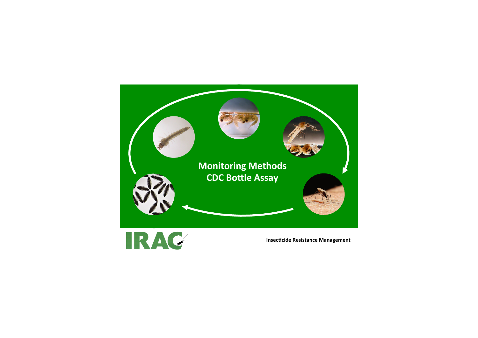